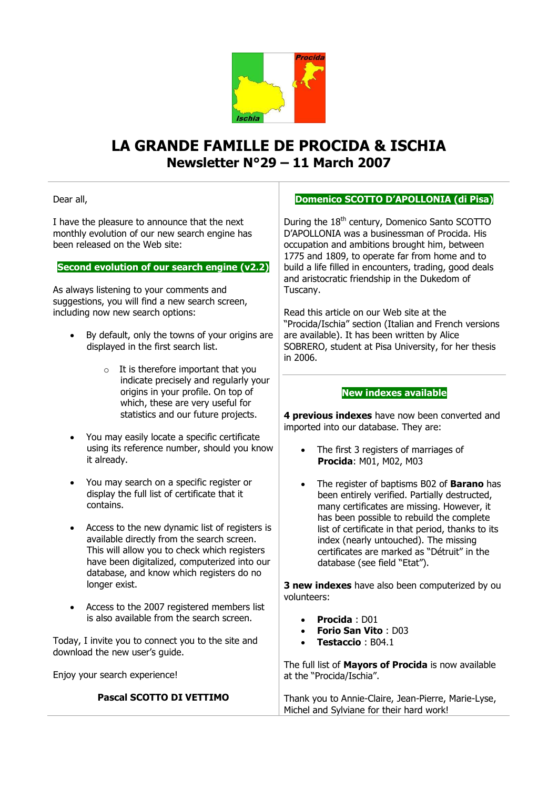

# **LA GRANDE FAMILLE DE PROCIDA & ISCHIA Newsletter N°29 – 11 March 2007**

Dear all,

I have the pleasure to announce that the next monthly evolution of our new search engine has been released on the Web site:

**Second evolution of our search engine (v2.2)**

As always listening to your comments and suggestions, you will find a new search screen, including now new search options:

- By default, only the towns of your origins are displayed in the first search list.
	- $\circ$  It is therefore important that you indicate precisely and regularly your origins in your profile. On top of which, these are very useful for statistics and our future projects.
- You may easily locate a specific certificate using its reference number, should you know it already.
- You may search on a specific register or display the full list of certificate that it contains.
- Access to the new dynamic list of registers is available directly from the search screen. This will allow you to check which registers have been digitalized, computerized into our database, and know which registers do no longer exist.
- Access to the 2007 registered members list is also available from the search screen.

Today, I invite you to connect you to the site and download the new user's guide.

Enjoy your search experience!

### **Pascal SCOTTO DI VETTIMO**

## **Domenico SCOTTO D'APOLLONIA (di Pisa)**

During the  $18<sup>th</sup>$  century, Domenico Santo SCOTTO D'APOLLONIA was a businessman of Procida. His occupation and ambitions brought him, between 1775 and 1809, to operate far from home and to build a life filled in encounters, trading, good deals and aristocratic friendship in the Dukedom of Tuscany.

Read this article on our Web site at the "Procida/Ischia" section (Italian and French versions are available). It has been written by Alice SOBRERO, student at Pisa University, for her thesis in 2006.

#### **New indexes available**

**4 previous indexes** have now been converted and imported into our database. They are:

- The first 3 registers of marriages of **Procida**: M01, M02, M03
- The register of baptisms B02 of **Barano** has been entirely verified. Partially destructed, many certificates are missing. However, it has been possible to rebuild the complete list of certificate in that period, thanks to its index (nearly untouched). The missing certificates are marked as "Détruit" in the database (see field "Etat").

**3 new indexes** have also been computerized by ou volunteers:

- **Procida** : D01
- **Forio San Vito** : D03
- **Testaccio** : B04.1

The full list of **Mayors of Procida** is now available at the "Procida/Ischia".

Thank you to Annie-Claire, Jean-Pierre, Marie-Lyse, Michel and Sylviane for their hard work!